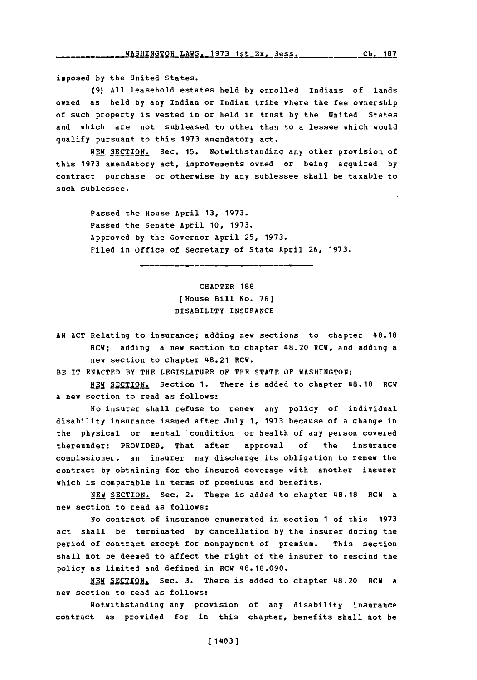**imposed by the United States.**

**(9) All leasehold estates held by enrolled Indians of lands owned as held by any Indian or Indian tribe where the fee ownership of such property is vested in or held in trust by the United States and which are not subleased to other than to a lessee which would qualify pursuant to this 1973 amendatory act.**

**NEW. SECTION. Sec. 15. Notwithstanding any other provision of this 1973 amendatory act, improvements owned or being acquired by contract purchase or otherwise by any sublessee shall be taxable to such sublessee.**

**Passed the House April 13, 1973. Passed the Senate April 10, 1973. Approved by the Governor April 25, 1973. Filed in office of Secretary of State April 26, 1973.**

> **CHAPTER 188 (House Bill No. 76) DISABILITY INSURANCE**

**AN ACT Relating to insurance; adding new sections to chapter 48.18 RCW; adding a new section to chapter 48.20 RCW, and adding a new section to chapter 48.21 RCW.**

**BE IT ENACTED BY THE LEGISLATURE OF THE STATE OF WASHINGTON:**

**NEW SECTION.** Section 1. There is added to chapter 48.18 RCW **a new section to read as follows:**

**No insurer shall refuse to renew any policy of individual disability insurance issued after July 1, 1973 because of a change in the physical or mental 'condition or health of any person covered thereunder: PROVIDED, That after approval of the insurance commissioner, an insurer may discharge its obligation to renew the contract by obtaining for the insured coverage with another insurer which is comparable in terms of premiums and benefits.**

**NEW SECTION.** Sec. 2. There is added to chapter 48.18 RCW a **new section to read as follows:**

**No contract of insurance enumerated in section 1 of this 1973 act shall be terminated by cancellation by the insurer during the period of contract except for nonpayment of premium. This section shall not be deemed to affect the right of the insurer to rescind the policy as limited and defined in RCW 48.18.090.**

NEW SECTION. Sec. 3. There is added to chapter 48.20 RCW a **new section to read as follows:**

**Notwithstanding any provision of any disability insurance contract as provided for in this chapter, benefits shall not be**